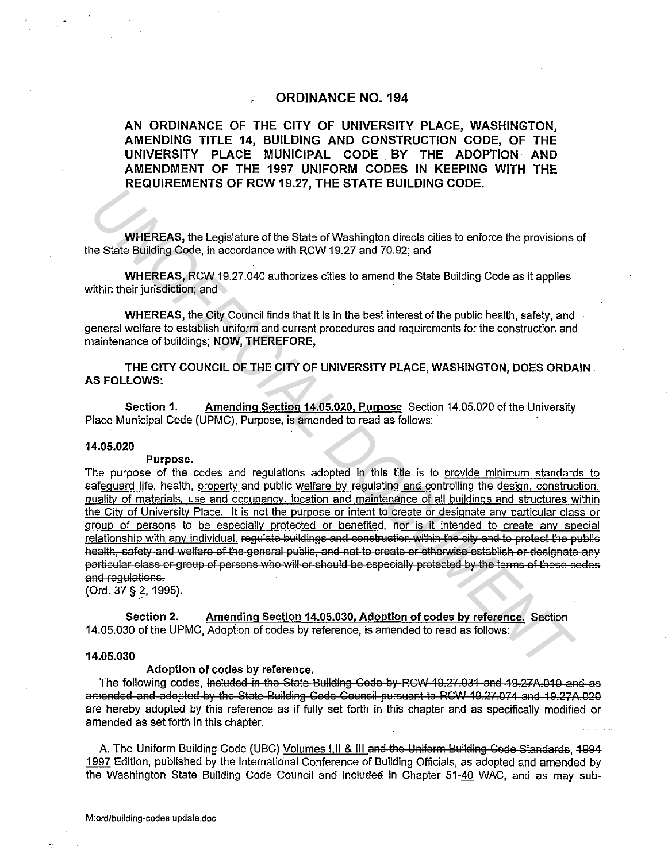# **ORDINANCE NO. 194**

AN ORDINANCE OF THE CITY OF UNIVERSITY PLACE, WASHINGTON, AMENDING TITLE 14, BUILDING AND CONSTRUCTION CODE, OF THE UNIVERSITY PLACE MUNICIPAL CODE BY THE ADOPTION AND AMENDMENT OF THE 1997 UNIFORM CODES IN KEEPING WITH THE REQUIREMENTS OF RCW 19.27, THE STATE BUILDING CODE.

WHEREAS, the Legislature of the State of Washington directs cities to enforce the provisions of the State Building Code, in accordance with RCW 19.27 and 70.92; and

**WHEREAS, RCW 19.27.040 authorizes cities to amend the State Building Code as it applies** within their jurisdiction; and

WHEREAS, the City Council finds that it is in the best interest of the public health, safety, and general welfare to establish uniform and current procedures and requirements for the construction and maintenance of buildings; NOW, THEREFORE,

THE CITY COUNCIL OF THE CITY OF UNIVERSITY PLACE, WASHINGTON, DOES ORDAIN. **AS FOLLOWS:** 

Amending Section 14.05.020, Purpose Section 14.05.020 of the University Section 1. Place Municipal Code (UPMC), Purpose, is amended to read as follows:

# 14.05.020

#### Purpose.

The purpose of the codes and regulations adopted in this title is to provide minimum standards to safeguard life, health, property and public welfare by regulating and controlling the design, construction, quality of materials, use and occupancy, location and maintenance of all buildings and structures within the City of University Place. It is not the purpose or intent to create or designate any particular class or group of persons to be especially protected or benefited, nor is it intended to create any special relationship with any individual. regulate buildings and construction within the city and to protect the public health, safety and welfare of the general public, and not to create or otherwise establish or designate any particular class or group of persons who will or should be especially protected by the terms of these codes and requiations.

(Ord. 37 § 2, 1995).

Amending Section 14.05.030, Adoption of codes by reference. Section Section 2. 14.05.030 of the UPMC, Adoption of codes by reference, is amended to read as follows:

### 14.05.030

### Adoption of codes by reference.

The following codes, included in the State-Building Code by RCW-19.27.031-and 19.27A.010 and as amended-and-adopted by the State-Building Code Council-pursuant to RCW 19.27.074 and 19.27A.020 are hereby adopted by this reference as if fully set forth in this chapter and as specifically modified or amended as set forth in this chapter.

A. The Uniform Building Code (UBC) Volumes I, II & III and the Uniform Building Code Standards, 1994 1997 Edition, published by the International Conference of Building Officials, as adopted and amended by the Washington State Building Code Council and included in Chapter 51-40 WAC, and as may sub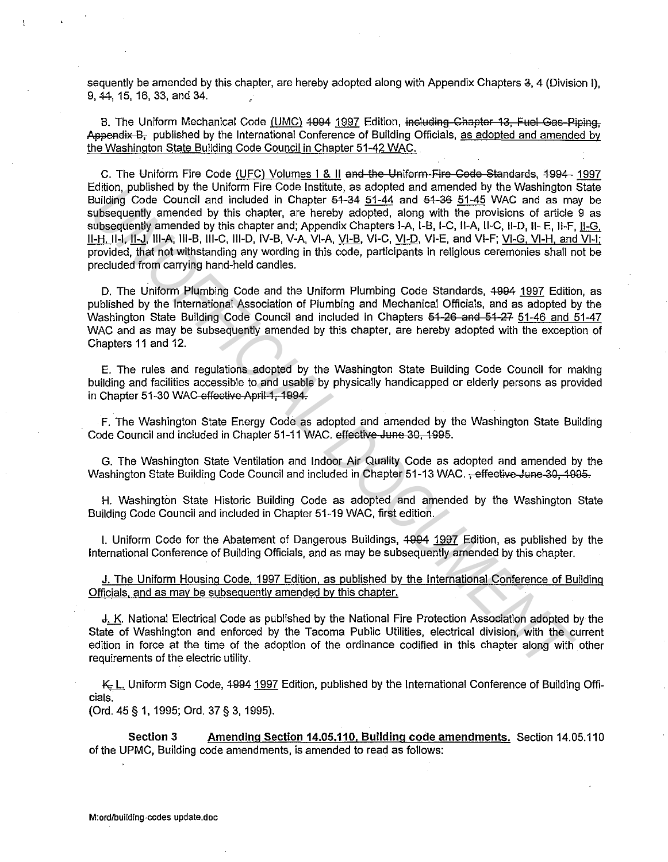sequently be amended by this chapter, are hereby adopted along with Appendix Chapters 3, 4 (Division I), 9, 44, 15, 16, 33, and 34.

B. The Uniform Mechanical Code (UMC) 4994 1997 Edition, including Chapter 13. Fuel Gas-Piping. Appendix B<sub>r</sub> published by the International Conference of Building Officials, as adopted and amended by the Washington State Building Code Council in Chapter 51-42 WAC.

C. The Uniform Fire Code (UFC) Volumes I & II and the Uniform Fire Code Standards, 1994- 1997 Edition, published by the Uniform Fire Code Institute, as adopted and amended by the Washington State Building Code Council and included in Chapter  $64-34$  51-44 and  $64-36$  51-45 WAC and as may be subsequently amended by this chapter, are hereby adopted, along with the provisions of article 9 as subsequently amended by this chapter and; Appendix Chapters I-A, 1-B, 1-C, II-A, 11-C, 11-D, II- E, 11-F, 11-G, 11-H, 11-1, 11-J, Ill-A, 111-B, 111-C, 111-D, IV-B, V-A, VI-A, Vl-B, Vl-C, Vl-D, Vl-E, and Vl-F; Vl-G, Vl-H, and VI-I; provided, that not withstanding any wording in this code, participants in religious ceremonies shall not be precluded from carrying hand-held candles. colon, published by this chapter as a copy of the strained by this chapter. This is a content of the provision subsequently amended by this chapter at a helievy adopted, along with the provision solutions of a colonical su

D. The Uniform Plumbing Code and the Uniform Plumbing Code Standards, 4994 1997 Edition, as published by the International Association of Plumbing and Mechanical Officials, and as adopted by the Washington State Building Code Council and included in Chapters 51-26 and 51-27 51-46 and 51-47 WAC and as may be subsequently amended by this chapter, are hereby adopted with the exception of Chapters 11 and 12.

E. The rules and regulations adopted by the Washington State Building Code Council for making building and facilities accessible to and usable by physically handicapped or elderly persons as provided in Chapter 51-30 WAC effective April 1, 1994.

F. The Washington State Energy Code as adopted and amended by the Washington State Building Code Council and included in Chapter 51-11 WAC. effective June 30, 1995.

G. The Washington State Ventilation and Indoor Air Quality Code as adopted and amended by the Washington State Building Code Council and included in Chapter 51-13 WAC. <del>, effective June 30, 1995.</del>

H. Washington State Historic Building Code as adopted and amended by the Washington State Building Code Council and included in Chapter 51-19 WAC, first edition.

I. Uniform Code for the Abatement of Dangerous Buildings, 4994 1997 Edition, as published by the International Conference of Building Officials, and as may be subsequently amended by this chapter.

J. The Uniform Housing Code, 1997 Edition, as published by the International Conference of Building Officials, and as may be subsequently amended by this chapter.

J,\_!S. National Electrical Code as published by the National Fire Protection Association adopted by the State of Washington and enforced by the Tacoma Public Utilities, electrical division, with the current edition in force at the time of the adoption of the ordinance codified in this chapter along with other requirements of the electric utility.

K., L. Uniform Sign Code, 4994 1997 Edition, published by the International Conference of Building Officials.

(Ord. 45 § 1, 1995; Ord. 37 § 3, 1995).

Section 3 Amending Section 14.05.110. Building code amendments. Section 14.05.110 of the UPMC, Building code amendments, is amended to read as follows: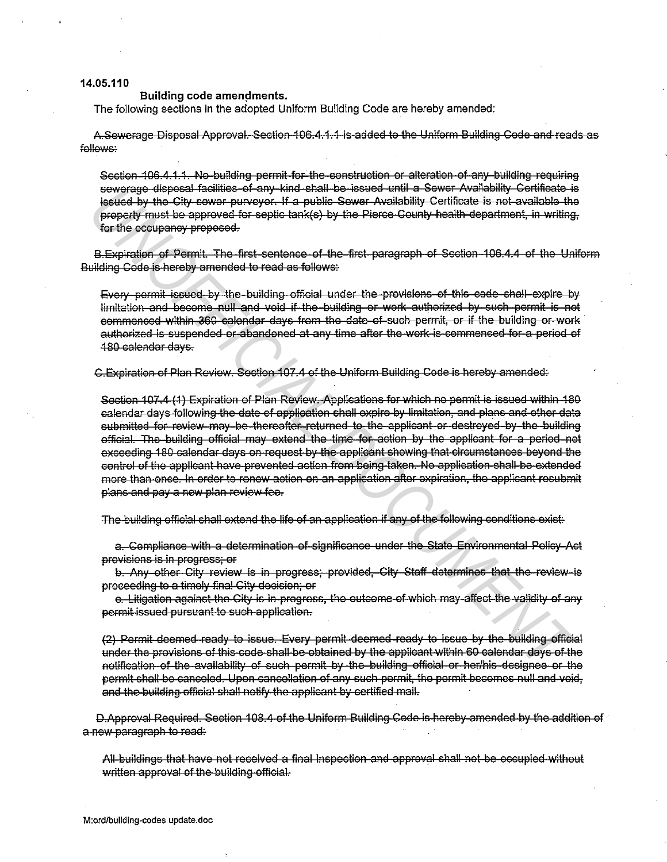# 14.05.110

## Building code amendments.

The following sections in the adopted Uniform Building Code are hereby amended:

A Sewerage Disposal Approval. Section 106.4.1.1 is added to the Uniform Building Code and reads as follows:

Section 106.4.1.1. No-building permit for the construction or alteration of any building requiring sewerage disposal facilities of any kind shall be issued until a Sewer Availability Certificate is issued by the City sewer purveyor. If a public Sewer Availability Certificate is not available the property must be approved for septic tank(s) by the Pierce County health department, in writing, for the occupancy proposed.

B.Expiration of Permit. The first sentence of the first paragraph of Section 106.4.4 of the Uniform Building Code is hereby amended to read as follows:

Every permit issued by the building official under the provisions of this code shall expire by limitation and become null and void if the building or work authorized by such permit is not commenced within 360 calendar days from the date of such permit, or if the building or work authorized is suspended or abandoned at any time after the work-is-commenced for a period of 180 calendar days.

C.Expiration of Plan Review. Section 107.4 of the Uniform Building Code is hereby amended:

Section 107.4 (1) Expiration of Plan Review, Applications for which no permit is issued within 180 calendar days following the date of application shall expire by limitation, and plans and other data submitted for review may be thereafter returned to the applicant or destroyed by the building official. The building official may extend the time for action by the applicant for a period not exceeding 180 calendar days on request by the applicant showing that circumstances beyond the control of the applicant have prevented action from boing taken. No application shall be extended more than once. In order to renew action on an application after expiration, the applicant resubmit plans and pay a new plan review fee.

The building official shall extend the life of an application if any of the following conditions exist.

a. Compliance with a determination of significance under the State Environmental Policy-Act provisions is in progress; or

b. Any other City review is in progress: provided, City Staff determines that the review is proceeding to a timely final City decision; or

c. Litigation against the City is in progress, the outcome of which may affect the validity of any permit issued pursuant to such application.

(2) Permit deemed ready to issue. Every permit deemed ready to issue by the building official under the provisions of this code shall be obtained by the applicant within 60 calendar days of the notification of the availability of such permit by the building official or her/his designee or the permit shall be canceled. Upon cancellation of any such permit, the permit becomes null and void, and the building official shall notify the applicant by certified mail.

D.Approval Required. Section 108.4 of the Uniform Building Code is hereby amended by the addition of a new paragraph to read.

All buildings that have not received a final inspection and approval shall not be occupied without written approval of the building official.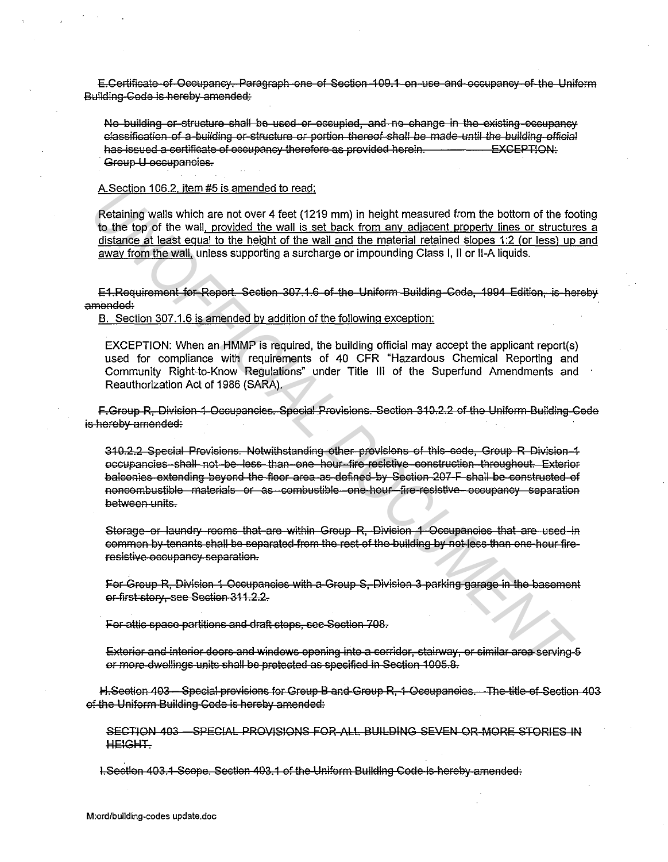E.Certificate of Occupancy. Paragraph one of Section 109.1 on use and occupancy of the Uniform Building Code is hereby amended:

No building or structure shall be used or occupied, and no change in the existing occupancy classification of a building or structure or portion thereof shall be made until the building official has issued a certificate of occupancy therefore as provided herein. **EXCEPTION:** Group U occupancies.

### A. Section 106.2. item #5 is amended to read:

Retaining walls which are not over 4 feet (1219 mm) in height measured from the bottom of the footing to the top of the wall, provided the wall is set back from any adjacent property lines or structures a distance at least equal to the height of the wall and the material retained slopes 1:2 (or less) up and away from the wall, unless supporting a surcharge or impounding Class I, II or II-A liquids.

E1.Requirement for Report. Section 307.1.6 of the Uniform Building Code, 1994 Edition, is hereby amended:

B. Section 307.1.6 is amended by addition of the following exception:

EXCEPTION: When an HMMP is required, the building official may accept the applicant report(s) used for compliance with requirements of 40 CFR "Hazardous Chemical Reporting and Community Right-to-Know Regulations" under Title III of the Superfund Amendments and Reauthorization Act of 1986 (SARA).

F-Group R. Division-1 Occupancies. Special Provisions. Section 310.2.2 of the Uniform Building Code is hereby amended:

310.2.2 Special Provisions. Notwithstanding other provisions of this-code, Group R Division-1 occupancies-shall not-be-less than-one hour fire resistive construction-throughout. Exterior balconies extending beyond the floor area as defined by Section 207-F shall be constructed of noncombustible materials or as combustible one hour fire-resistive occupancy separation between units.

Storage or laundry rooms that are within Group R. Division 1 Occupancies that are used in common by tenants shall be separated from the rest of the building by not less than one hour fireresistive occupancy separation.

For Group R, Division 1 Occupancies with a Group S, Division 3 parking garage in the basement or-first story, see Section 311.2.2.

For attic space partitions and draft stops, see-Section 708.

Exterior and interior doors and windows opening into a corridor, stairway, or similar area serving 5 or more dwellings units shall be protected as specified in Section 1005.8.

H.Section 403 – Special provisions for Group B and Group R, 1 Occupancies. The title of Section 403 of the Uniform Building Gode is hereby amended:

SECTION 403 - SPECIAL PROVISIONS FOR ALL BUILDING SEVEN OR MORE STORIES IN **HEIGHT.** 

I.Section 403.1 Scope. Section 403.1 of the Uniform Building Code is hereby amended: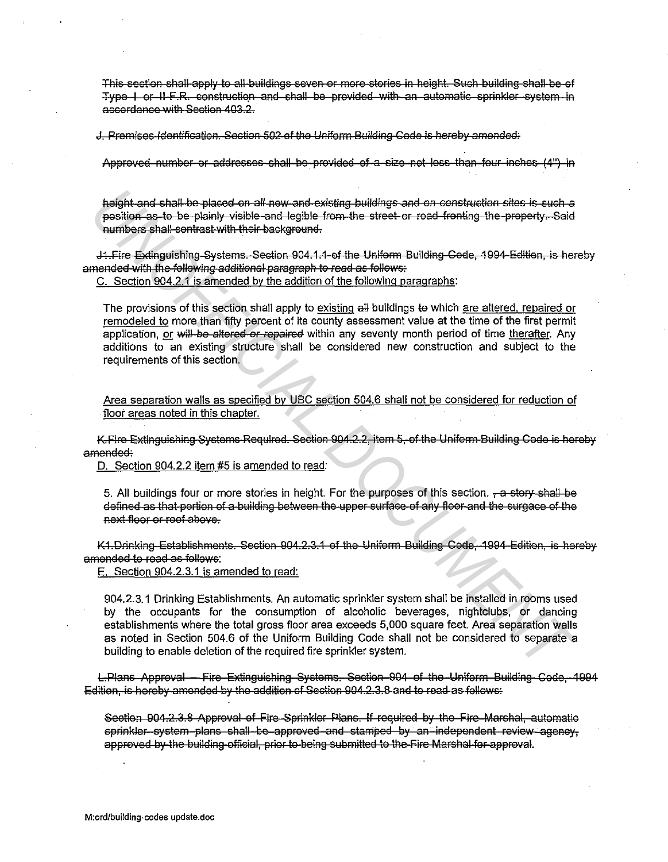This section shall apply to all buildings seven or more stories in height. Such building shall be of Type | or II F.R. construction and shall be provided with an automatic sprinkler system in accordance with Section 403.2.

J. Premises Identification. Section 502 of the Uniform Building Code is hereby amended:

Approved number or addresses shall be provided of a size not less than four inches (4") in

height and shall be placed on all new and existing buildings and on construction sites is such a position as to be plainly visible and legible from the street or road fronting the property. Said numbers shall-contrast with their background.

J1. Fire Extinguishing Systems. Section 904.1.1 of the Uniform Building Code, 1994 Edition, is hereby amended with the following additional paragraph to read as follows:

C. Section 904.2.1 is amended by the addition of the following paragraphs:

The provisions of this section shall apply to existing all buildings to which are altered, repaired or remodeled to more than fifty percent of its county assessment value at the time of the first permit application, or will be altered or repaired within any seventy month period of time therafter. Any additions to an existing structure shall be considered new construction and subject to the requirements of this section.

Area separation walls as specified by UBC section 504.6 shall not be considered for reduction of floor areas noted in this chapter.

K. Fire Extinguishing Systems Required. Section 904.2.2, item 5, of the Uniform Building Code is hereby amended:

D. Section 904.2.2 item #5 is amended to read:

5. All buildings four or more stories in height. For the purposes of this section. - a story shall be defined as that portion of a building between the upper surface of any floor and the surgace of the next floor or roof above.

K1. Drinking Establishments. Section 904.2.3.1 of the Uniform Building Code, 1994 Edition, is hereby amended to read as follows:

E. Section 904.2.3.1 is amended to read:

904.2.3.1 Drinking Establishments. An automatic sprinkler system shall be installed in rooms used by the occupants for the consumption of alcoholic beverages, nightclubs, or dancing establishments where the total gross floor area exceeds 5,000 square feet. Area separation walls as noted in Section 504.6 of the Uniform Building Code shall not be considered to separate a building to enable deletion of the required fire sprinkler system.

L-Plans Approval - Fire Extinguishing Systems. Section 904 of the Uniform Building Code, 1994 Edition, is hereby amended by the addition of Section 904.2.3.8 and to read as follows:

Section 904.2.3.8 Approval of Fire-Sprinkler-Plans. If required by the-Fire-Marshal, automatic sprinkler system plans shall be approved and stamped by an independent review agency. approved by the building official, prior to being submitted to the Fire Marshal for approval.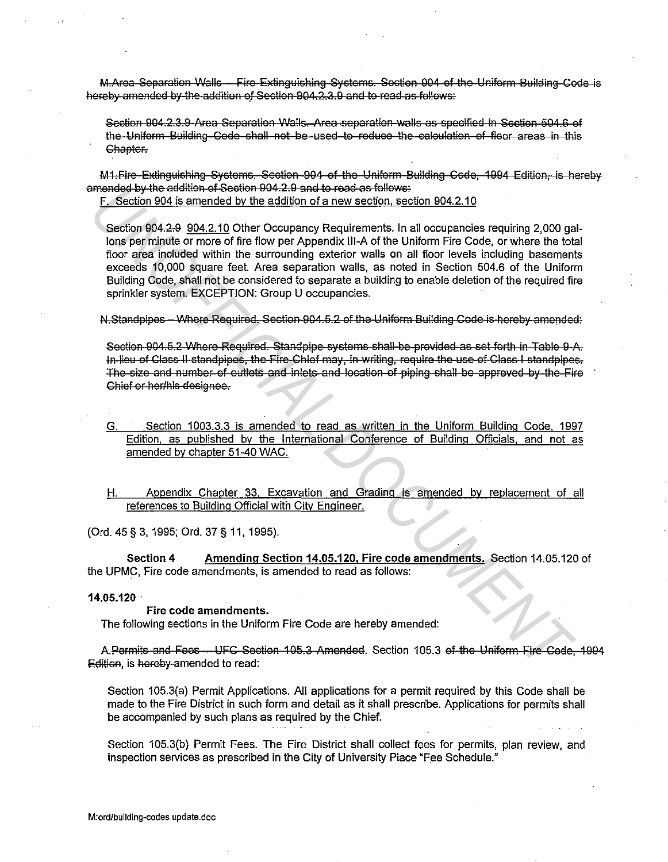M.Area-Separation Walls - Fire-Extinguishing Systems. Section 904 of the Uniform Building Code is hereby amended by the addition of Section 904.2.3.9 and to read as follows:

Section 904.2.3.9-Area Separation Walls. Area separation walls as specified in Section 504.6 of the Uniform Building Code shall not be used to reduce the calculation of floor areas in this Chapter.

M1. Fire Extinguishing Systems. Section 904 of the Uniform Building Code, 1994 Edition. is hereby amended by the addition of Section 904.2.9 and to read as follows:

F. Section 904 is amended by the addition of a new section, section 904.2.10

Section 904.2.9 904.2.10 Other Occupancy Requirements. In all occupancies requiring 2,000 gallons per minute or more of fire flow per Appendix III-A of the Uniform Fire Code, or where the total floor area included within the surrounding exterior walls on all floor levels including basements exceeds 10,000 square feet. Area separation walls, as noted in Section 504.6 of the Uniform Building Code, shall not be considered to separate a building to enable deletion of the required fire sprinkler system. EXCEPTION: Group U occupancies.

N.Standpipes - Where Required. Section 904.5.2 of the Uniform Building Code is hereby amended:

Section-904.5.2 Where-Required. Standpipe-systems shall-be-provided as set forth in Table 9-A. In lieu of Class II standpipes, the Fire Chief may, in writing, require the use of Class I standpipes. The size and number of outlets and inlets and location of piping shall be approved by the Fire Chief or her/his designee.

- Section 1003.3.3 is amended to read as written in the Uniform Building Code, 1997 G. Edition, as published by the International Conference of Building Officials, and not as amended by chapter 51-40 WAC.
- Appendix Chapter 33, Excavation and Grading is amended by replacement of all Η. references to Building Official with City Engineer.

(Ord. 45 § 3, 1995; Ord. 37 § 11, 1995).

Section 4 Amending Section 14.05.120, Fire code amendments. Section 14.05.120 of the UPMC. Fire code amendments, is amended to read as follows:

#### $14.05.120 -$

#### Fire code amendments.

The following sections in the Uniform Fire Code are hereby amended:

A.Permits and Fees-UFC Section 105.3 Amended. Section 105.3 of the Uniform Fire Code, 1994 Edition, is hereby-amended to read:

Section 105.3(a) Permit Applications. All applications for a permit required by this Code shall be made to the Fire District in such form and detail as it shall prescribe. Applications for permits shall be accompanied by such plans as required by the Chief.

Section 105.3(b) Permit Fees. The Fire District shall collect fees for permits, plan review, and inspection services as prescribed in the City of University Place "Fee Schedule."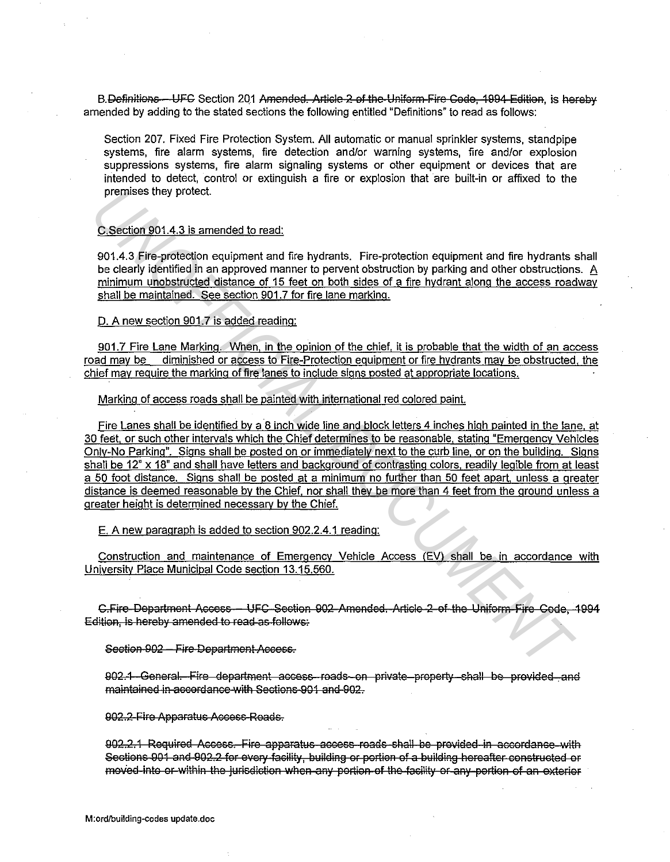B.Definitions – UFC Section 201 Amended. Article 2 of the Uniform Fire Code, 1994 Edition, is hereby amended by adding to the stated sections the following entitled "Definitions" to read as follows:

Section 207. Fixed Fire Protection System. All automatic or manual sprinkler systems, standpipe systems, fire alarm systems, fire detection and/or warning systems, fire and/or explosion suppressions systems, fire alarm signaling systems or other equipment or devices that are intended to detect, control or extinguish a fire or explosion that are built-in or affixed to the premises they protect.

### C.Section 901.4.3 is amended to read:

901.4.3 Fire-protection equipment and fire hydrants. Fire-protection equipment and fire hydrants shall be clearly identified in an approved manner to pervent obstruction by parking and other obstructions. A minimum unobstructed distance of 15 feet on both sides of a fire hydrant along the access roadway shall be maintained. See section 901.7 for fire lane marking.

D. A new section 901.7 is added reading:

901.7 Fire Lane Marking. When. in the opinion of the chief, it is probable that the width of an access road may be diminished or access to Fire-Protection equipment or fire hydrants may be obstructed, the chief may require the marking of fire lanes to include signs posted at appropriate locations.

Marking of access roads shall be painted with international red colored paint.

Fire Lanes shall be identified by a 8 inch wide line and block letters 4 inches high painted in the lane. at 30 feet, or such other intervals which the Chief determines to be reasonable, stating "Emergency Vehicles Only-No Parking''. Signs shall be posted on or immediately next to the curb line, or on the building. Signs shall be 12" x 18" and shall have letters and background of contrasting colors, readily legible from at least a 50 foot distance. Signs shall be posted at a minimum no further than 50 feet apart. unless a greater distance is deemed reasonable by the Chief, nor shall they be more than 4 feet from the ground unless a greater height is determined necessarv by the Chief. premises they protect.<br>
2. <u>Section 901.4.3 is amended to read:</u><br>
901.4.3 Fire-protection equipment and fire hydrants. Fire-protection equipment and fire hydrants<br>
by clearly identified in an approved manner to prevent obs

E. A new paragraph is added to section 902.2.4.1 reading:

Construction and maintenance of Emergency Vehicle Access (EV) shall be in accordance with University Place Municipal Code section 13.15.560.

C.Fire Department Access – UFC Section 902 Amended. Article 2 of the Uniform Fire Code, 1994 Edition, is hereby amended to read as follows:

Section 902 – Fire Department Access.

902.1 General. Fire department access reads on private property shall be provided and maintained in accordance with Sections 901 and 902.

902.2 Fire Apparatus Access Roads.

902.2.1 Required Access. Fire apparatus access reads shall be provided in accordance with Sections 901 and 902.2 for every facility, building or portion of a building hereafter constructed or moved into or within the jurisdiction when any portion of the facility or any portion of an exterior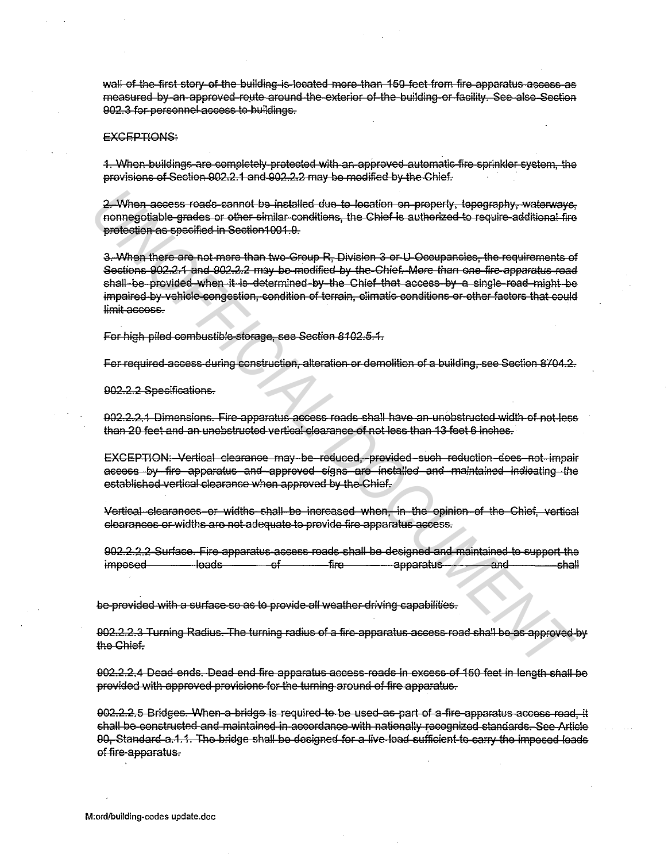wall of the first story of the building is located more than 150 feet from fire apparatus access as measured by an approved route around the exterior of the building or facility. See also Section 902.3 for personnel access to buildings.

### **EXCEPTIONS:**

1. When buildings are completely protected with an approved automatic fire sprinkler system, the provisions of Section 902.2.1 and 902.2.2 may be modified by the Chief.

2. When access roads cannot be installed due to location on property, topography, waterways, nonnegotiable grades or other similar conditions, the Chief is authorized to require additional fire protection as specified in Section1001.9.

3. When there are not more than two Group R, Division 3 or U Occupancies, the requirements of Sections 902-2-1 and 902-2-2 may be modified by the Chief. More than one fire apparatus road chall-be-provided when it is determined by the Chief that access by a single-road might be impaired by vehicle congestion, condition of terrain, climatic conditions or other factors that could limit-access.

For high piled combustible storage, see Section 8102.5.4.

For required access during construction, alteration or demolition of a building, see Section 8704.2.

902.2.2 Specifications.

902.2.2.1 Dimensions. Fire apparatus access roads shall have an unobstructed width of not less than 20 feet and an unobstructed vertical clearance of not less than 13 feet 6 inches.

EXCEPTION: Vertical clearance may be reduced, provided such reduction does not impair access by fire apparatus and approved signs are installed and maintained indicating the established vertical clearance when approved by the Chief.

Vertical clearances or widths shall be increased when, in the opinion of the Chief, vertical clearances or widths are not adequate to provide fire apparatus access.

902.2.2.2 Surface. Fire apparatus ascess roads shall be designed and maintained to support the <del>-loads -</del> ə£ -fireapparatus and imposed -shall

be-provided with a surface so as to provide all weather driving capabilities.

902.2.2.3 Turning Radius. The turning radius of a fire apparatus access road shall be as approved by the Chief.

902.2.2.4 Dead ends. Dead end fire apparatus access roads in excess of 150 feet in length shall be provided with approved provisions for the turning around of fire apparatus.

902.2.2.5 Bridges. When a bridge is required to be used as part of a fire apparatus access road, it shall be constructed and maintained in accordance with nationally recognized standards. See Article 90, Standard a.1.1. The bridge shall be designed for a live load sufficient to carry the imposed loads of fire-apparatus.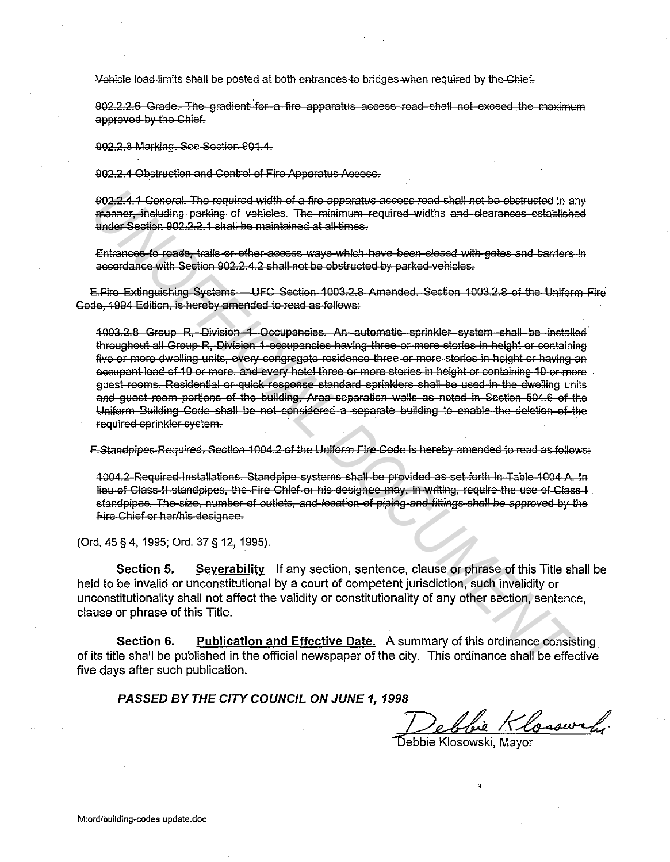Vehicle load limits shall be posted at both entrances to bridges when required by the Chief.

902.2.2.6 Grade. The gradient for a fire apparatus access road shall not exceed the maximum approved by the Chief.

902.2.3 Marking. See Section 901.4.

902.2.4 Obstruction and Control of Fire Apparatus Access.

902-2.4.1 General. The required width of a fire apparatus access road shall not be obstructed in any manner, including parking of vehicles. The minimum required widths and clearances established under Section 902.2.2.1 shall be maintained at all times.

Entrances to roads, trails or other access ways which have been closed with gates and barriers in accordance with Section 902.2.4.2 shall not be obstructed by parked vehicles.

E.Fire Extinguishing Systems - UFC Section 1003.2.8 Amended. Section 1003.2.8 of the Uniform Fire Code, 1994 Edition, is hereby amended to read as follows:

1003.2.8 Group R. Division 1 Occupancies. An automatic sprinkler system shall be installed throughout all Group R. Division 1 occupancies having three or more stories in height or containing five or more dwelling units, every congregate residence three or more stories in height or having an occupant load of 10 or more, and every hotel three or more stories in height or containing 10 or more. quest rooms. Residential or quick response standard sprinklers shall be used in the dwelling units and guest room portions of the building. Area separation walls as noted in Section 504.6 of the Uniform Building Code shall be not considered a separate building to enable the deletion of the required sprinkler system.

F-Standpipes-Required. Section-1004.2-of the Uniform Fire-Code is hereby amended to read as follows.

1004.2 Required Installations. Standpipe systems shall be provided as set forth in Table 1004 A. In lieu of Class II standpipes, the Fire Chief or his designee may, in writing, require the use of Class I standpipes. The size, number of outlets, and location of piping and fittings shall be approved by the Fire Chief or her/his-designee.

(Ord. 45 § 4, 1995; Ord. 37 § 12, 1995).

Section 5. Severability If any section, sentence, clause or phrase of this Title shall be held to be invalid or unconstitutional by a court of competent jurisdiction, such invalidity or unconstitutionality shall not affect the validity or constitutionality of any other section, sentence, clause or phrase of this Title.

**Publication and Effective Date.** A summary of this ordinance consisting Section 6. of its title shall be published in the official newspaper of the city. This ordinance shall be effective five days after such publication.

PASSED BY THE CITY COUNCIL ON JUNE 1, 1998

bie Klosswely

Debbie Klosowski, Mayor

M:ord/building-codes update.doc